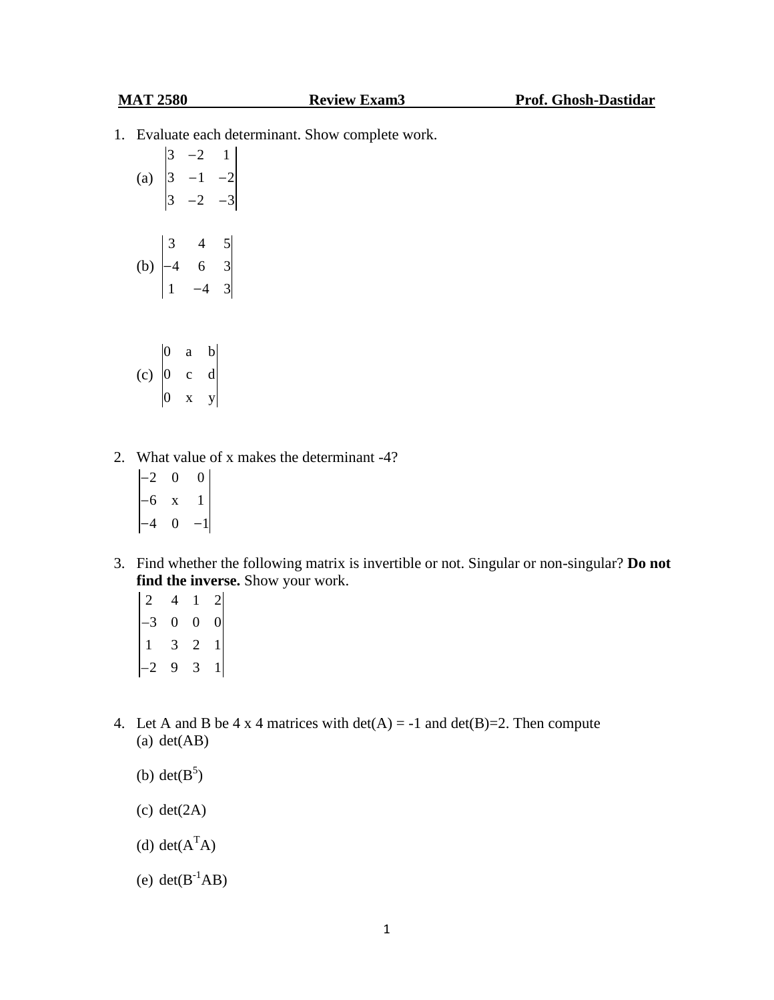1. Evaluate each determinant. Show complete work.

|                           | $\vert 3$       | 2      |                                       |  |
|---------------------------|-----------------|--------|---------------------------------------|--|
| (a)                       | $\vert 3 \vert$ | 1      |                                       |  |
|                           |                 | 2      |                                       |  |
|                           |                 |        |                                       |  |
|                           |                 | 4<br>6 |                                       |  |
| $\left(\mathrm{b}\right)$ | $-4$            |        | $\begin{array}{c} 5 \\ 3 \end{array}$ |  |
|                           |                 |        | 3                                     |  |
|                           |                 |        |                                       |  |
|                           |                 |        |                                       |  |
|                           |                 |        | п.                                    |  |

- (c) 0 a b 0 c d 0 x y
- 2. What value of x makes the determinant -4?
	- $|-2 \ 0 \ 0|$ 6 x 1 4 0  $-1$
- 3. Find whether the following matrix is invertible or not. Singular or non-singular? **Do not find the inverse.** Show your work.
	- $2 \t 4 \t 1 \t 2$ 3 0 0 0 1 3 2 1 2 9 3 1
- 4. Let A and B be 4 x 4 matrices with  $det(A) = -1$  and  $det(B)=2$ . Then compute (a) det(AB)
	- (b) det $(B^5)$
	- (c) det(2A)
	- (d) det $(A<sup>T</sup>A)$
	- (e)  $det(B^{-1}AB)$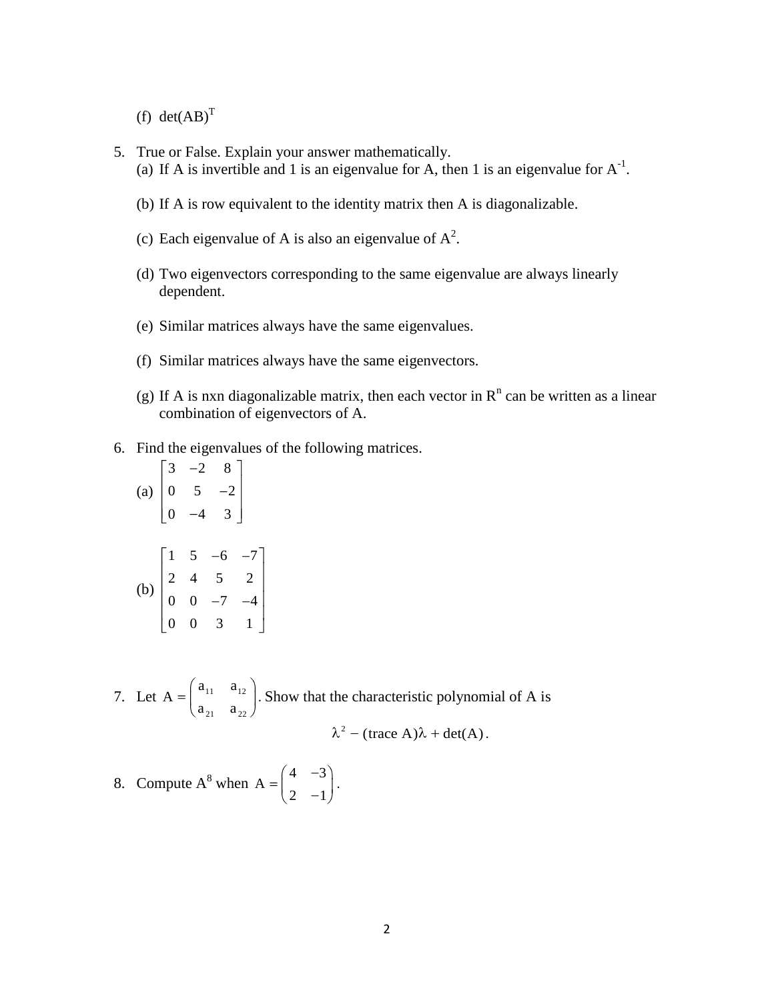(f)  $det(AB)^T$ 

- 5. True or False. Explain your answer mathematically.
	- (a) If A is invertible and 1 is an eigenvalue for A, then 1 is an eigenvalue for  $A^{-1}$ .
	- (b) If A is row equivalent to the identity matrix then A is diagonalizable.
	- (c) Each eigenvalue of A is also an eigenvalue of  $A^2$ .
	- (d) Two eigenvectors corresponding to the same eigenvalue are always linearly dependent.
	- (e) Similar matrices always have the same eigenvalues.
	- (f) Similar matrices always have the same eigenvectors.
	- (g) If A is nxn diagonalizable matrix, then each vector in  $R<sup>n</sup>$  can be written as a linear combination of eigenvectors of A.
- 6. Find the eigenvalues of the following matrices.
	- (a)  $3 -2 8$ 0  $5 -2$  $0 -4 3$ (b)  $1 \t 5 \t -6 \t -7$ 2 4 5 2  $0 \t 0 \t -7 \t -4$  $0 \t 0 \t 3 \t 1$
- 7. Let  $A = \begin{vmatrix} a_{11} & a_{12} \\ a_{21} & a_{22} \end{vmatrix}$ 21  $a_{22}$  $a_{11}$  a A  $a_{21}$  a . Show that the characteristic polynomial of A is 2

$$
\lambda^2 - (\text{trace } A)\lambda + \det(A).
$$

8. Compute A<sup>8</sup> when A =  $\begin{pmatrix} 4 & -3 \\ 1 & 3 \end{pmatrix}$ A  $2 -1$ .